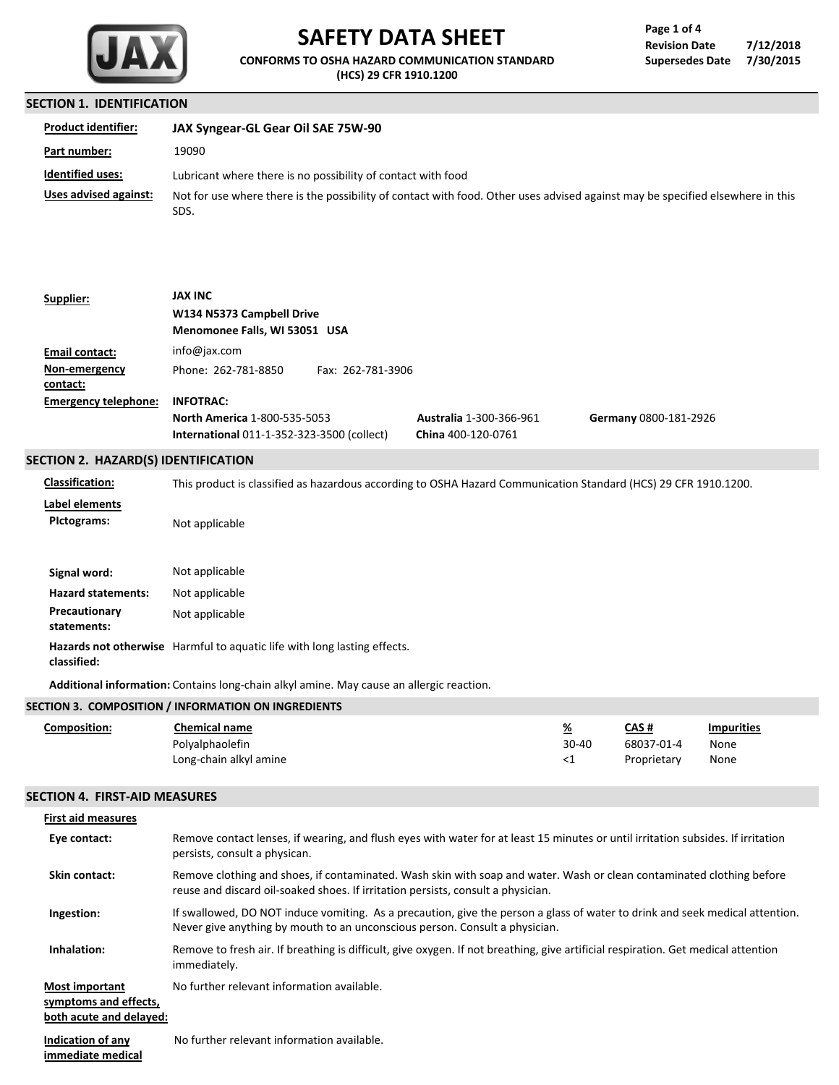

# **SAFETY DATA SHEET**

**CONFORMS TO OSHA HAZARD COMMUNICATION STANDARD (HCS) 29 CFR 1910.1200**

### **Revision Date 7/12/2018 Supersedes Date 7/30/2015 Page 1 of 4**

#### **SECTION 1. IDENTIFICATION**

| <b>Product identifier:</b> | JAX Syngear-GL Gear Oil SAE 75W-90                                                                                                     |
|----------------------------|----------------------------------------------------------------------------------------------------------------------------------------|
| Part number:               | 19090                                                                                                                                  |
| <b>Identified uses:</b>    | Lubricant where there is no possibility of contact with food                                                                           |
| Uses advised against:      | Not for use where there is the possibility of contact with food. Other uses advised against may be specified elsewhere in this<br>SDS. |

| Supplier:                           | <b>JAX INC</b>                                    |                   |                                |                       |  |
|-------------------------------------|---------------------------------------------------|-------------------|--------------------------------|-----------------------|--|
|                                     | W134 N5373 Campbell Drive                         |                   |                                |                       |  |
|                                     | Menomonee Falls, WI 53051 USA                     |                   |                                |                       |  |
| Email contact:                      | info@jax.com                                      |                   |                                |                       |  |
| Non-emergency                       | Phone: 262-781-8850                               | Fax: 262-781-3906 |                                |                       |  |
| contact:                            |                                                   |                   |                                |                       |  |
| <b>Emergency telephone:</b>         | <b>INFOTRAC:</b>                                  |                   |                                |                       |  |
|                                     | <b>North America 1-800-535-5053</b>               |                   | <b>Australia 1-300-366-961</b> | Germany 0800-181-2926 |  |
|                                     | <b>International 011-1-352-323-3500 (collect)</b> |                   | China 400-120-0761             |                       |  |
| SECTION 2. HAZARD(S) IDENTIFICATION |                                                   |                   |                                |                       |  |
|                                     |                                                   |                   |                                |                       |  |

**Classification:** This product is classified as hazardous according to OSHA Hazard Communication Standard (HCS) 29 CFR 1910.1200.

**Label elements PIctograms:** Not applicable

| Signal word:                 | Not applicable                                                                  |
|------------------------------|---------------------------------------------------------------------------------|
| <b>Hazard statements:</b>    | Not applicable                                                                  |
| Precautionary<br>statements: | Not applicable                                                                  |
| classified:                  | <b>Hazards not otherwise</b> Harmful to aquatic life with long lasting effects. |

**Additional information:** Contains long-chain alkyl amine. May cause an allergic reaction.

|              | SECTION 3. COMPOSITION / INFORMATION ON INGREDIENTS |          |             |                   |
|--------------|-----------------------------------------------------|----------|-------------|-------------------|
| Composition: | Chemical name                                       | <u>%</u> | CAS #       | <b>Impurities</b> |
|              | Polyalphaolefin                                     | $30-40$  | 68037-01-4  | None              |
|              | Long-chain alkyl amine                              | <1       | Proprietary | None              |

#### **SECTION 4. FIRST-AID MEASURES**

| <b>First aid measures</b>                                                 |                                                                                                                                                                                                             |
|---------------------------------------------------------------------------|-------------------------------------------------------------------------------------------------------------------------------------------------------------------------------------------------------------|
| Eye contact:                                                              | Remove contact lenses, if wearing, and flush eyes with water for at least 15 minutes or until irritation subsides. If irritation<br>persists, consult a physican.                                           |
| <b>Skin contact:</b>                                                      | Remove clothing and shoes, if contaminated. Wash skin with soap and water. Wash or clean contaminated clothing before<br>reuse and discard oil-soaked shoes. If irritation persists, consult a physician.   |
| Ingestion:                                                                | If swallowed, DO NOT induce vomiting. As a precaution, give the person a glass of water to drink and seek medical attention.<br>Never give anything by mouth to an unconscious person. Consult a physician. |
| Inhalation:                                                               | Remove to fresh air. If breathing is difficult, give oxygen. If not breathing, give artificial respiration. Get medical attention<br>immediately.                                                           |
| <b>Most important</b><br>symptoms and effects,<br>both acute and delayed: | No further relevant information available.                                                                                                                                                                  |
|                                                                           | $\mathbf{r}$ and $\mathbf{r}$ and $\mathbf{r}$ are the contribution of $\mathbf{r}$ and $\mathbf{r}$ are the contribution of $\mathbf{r}$                                                                   |

**Indication of any immediate medical** No further relevant information available.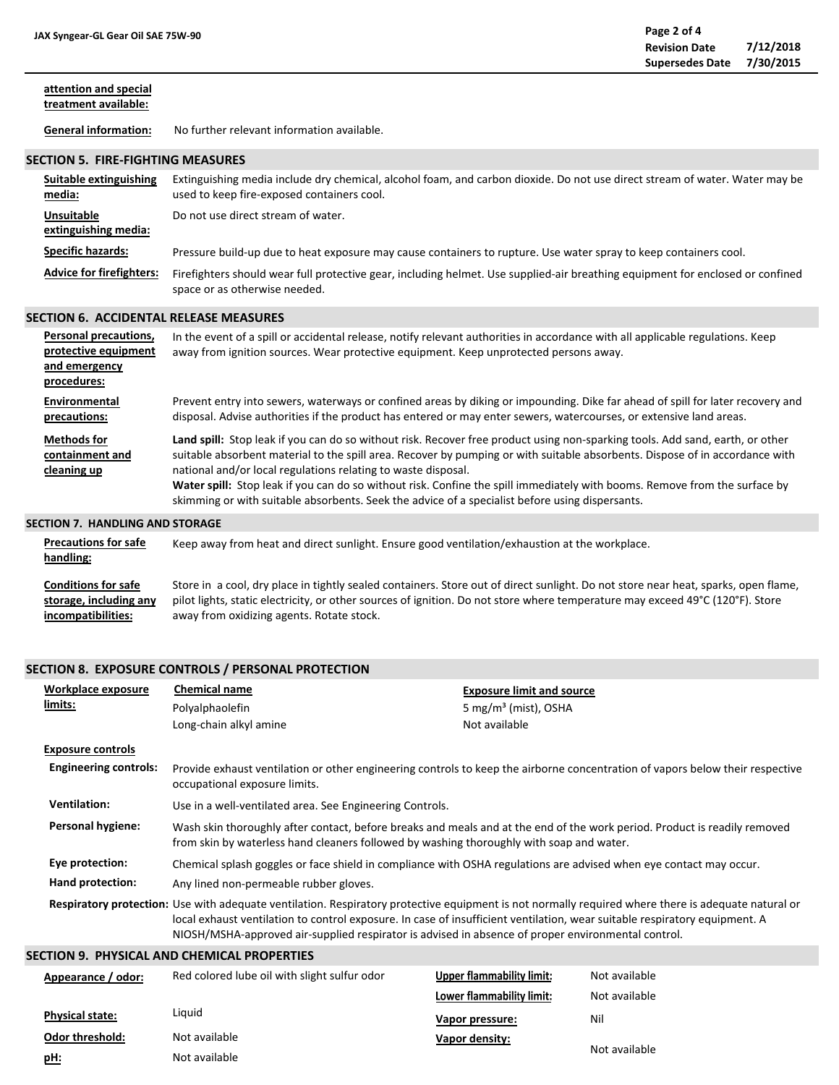| attention and special<br>treatment available: |                                            |  |
|-----------------------------------------------|--------------------------------------------|--|
| <b>General information:</b>                   | No further relevant information available. |  |
| <b>SECTION 5. FIRE-FIGHTING MEASURES</b>      |                                            |  |

| Suitable extinguishing<br>media:          | Extinguishing media include dry chemical, alcohol foam, and carbon dioxide. Do not use direct stream of water. Water may be<br>used to keep fire-exposed containers cool. |
|-------------------------------------------|---------------------------------------------------------------------------------------------------------------------------------------------------------------------------|
| <b>Unsuitable</b><br>extinguishing media: | Do not use direct stream of water.                                                                                                                                        |
| <b>Specific hazards:</b>                  | Pressure build-up due to heat exposure may cause containers to rupture. Use water spray to keep containers cool.                                                          |
| <b>Advice for firefighters:</b>           | Firefighters should wear full protective gear, including helmet. Use supplied-air breathing equipment for enclosed or confined<br>space or as otherwise needed.           |

# **SECTION 6. ACCIDENTAL RELEASE MEASURES**

| <b>Personal precautions,</b><br>protective equipment<br>and emergency<br>procedures: | In the event of a spill or accidental release, notify relevant authorities in accordance with all applicable regulations. Keep<br>away from ignition sources. Wear protective equipment. Keep unprotected persons away.                                                                                                                                                                                                                                                                                                                                         |
|--------------------------------------------------------------------------------------|-----------------------------------------------------------------------------------------------------------------------------------------------------------------------------------------------------------------------------------------------------------------------------------------------------------------------------------------------------------------------------------------------------------------------------------------------------------------------------------------------------------------------------------------------------------------|
| Environmental<br>precautions:                                                        | Prevent entry into sewers, waterways or confined areas by diking or impounding. Dike far ahead of spill for later recovery and<br>disposal. Advise authorities if the product has entered or may enter sewers, watercourses, or extensive land areas.                                                                                                                                                                                                                                                                                                           |
| <b>Methods for</b><br>containment and<br>cleaning up                                 | Land spill: Stop leak if you can do so without risk. Recover free product using non-sparking tools. Add sand, earth, or other<br>suitable absorbent material to the spill area. Recover by pumping or with suitable absorbents. Dispose of in accordance with<br>national and/or local regulations relating to waste disposal.<br>Water spill: Stop leak if you can do so without risk. Confine the spill immediately with booms. Remove from the surface by<br>skimming or with suitable absorbents. Seek the advice of a specialist before using dispersants. |
| ECTION 7<br><b>UANDUNG AND CTODACE</b>                                               |                                                                                                                                                                                                                                                                                                                                                                                                                                                                                                                                                                 |

#### **SECTION 7. HANDLING AND STORAGE**

**pH:**

| <b>Precautions for safe</b><br>handling: | Keep away from heat and direct sunlight. Ensure good ventilation/exhaustion at the workplace.                                      |
|------------------------------------------|------------------------------------------------------------------------------------------------------------------------------------|
| <b>Conditions for safe</b>               | Store in a cool, dry place in tightly sealed containers. Store out of direct sunlight. Do not store near heat, sparks, open flame, |
| storage, including any                   | pilot lights, static electricity, or other sources of ignition. Do not store where temperature may exceed 49°C (120°F). Store      |
| incompatibilities:                       | away from oxidizing agents. Rotate stock.                                                                                          |

# **SECTION 8. EXPOSURE CONTROLS / PERSONAL PROTECTION**

Not available

| Workplace exposure                                                                                                                                                                                                                                                                                                                                                                      | <b>Chemical name</b>                                                                                                                                                                                                  | <b>Exposure limit and source</b> |               |
|-----------------------------------------------------------------------------------------------------------------------------------------------------------------------------------------------------------------------------------------------------------------------------------------------------------------------------------------------------------------------------------------|-----------------------------------------------------------------------------------------------------------------------------------------------------------------------------------------------------------------------|----------------------------------|---------------|
| limits:                                                                                                                                                                                                                                                                                                                                                                                 | Polyalphaolefin                                                                                                                                                                                                       | 5 mg/m <sup>3</sup> (mist), OSHA |               |
|                                                                                                                                                                                                                                                                                                                                                                                         | Long-chain alkyl amine                                                                                                                                                                                                | Not available                    |               |
| <b>Exposure controls</b>                                                                                                                                                                                                                                                                                                                                                                |                                                                                                                                                                                                                       |                                  |               |
| <b>Engineering controls:</b>                                                                                                                                                                                                                                                                                                                                                            | Provide exhaust ventilation or other engineering controls to keep the airborne concentration of vapors below their respective<br>occupational exposure limits.                                                        |                                  |               |
| <b>Ventilation:</b>                                                                                                                                                                                                                                                                                                                                                                     | Use in a well-ventilated area. See Engineering Controls.                                                                                                                                                              |                                  |               |
| Personal hygiene:                                                                                                                                                                                                                                                                                                                                                                       | Wash skin thoroughly after contact, before breaks and meals and at the end of the work period. Product is readily removed<br>from skin by waterless hand cleaners followed by washing thoroughly with soap and water. |                                  |               |
| Eye protection:                                                                                                                                                                                                                                                                                                                                                                         | Chemical splash goggles or face shield in compliance with OSHA regulations are advised when eye contact may occur.                                                                                                    |                                  |               |
| Hand protection:                                                                                                                                                                                                                                                                                                                                                                        | Any lined non-permeable rubber gloves.                                                                                                                                                                                |                                  |               |
| Respiratory protection: Use with adequate ventilation. Respiratory protective equipment is not normally required where there is adequate natural or<br>local exhaust ventilation to control exposure. In case of insufficient ventilation, wear suitable respiratory equipment. A<br>NIOSH/MSHA-approved air-supplied respirator is advised in absence of proper environmental control. |                                                                                                                                                                                                                       |                                  |               |
|                                                                                                                                                                                                                                                                                                                                                                                         | SECTION 9.  PHYSICAL AND CHEMICAL PROPERTIES                                                                                                                                                                          |                                  |               |
| Appearance / odor:                                                                                                                                                                                                                                                                                                                                                                      | Red colored lube oil with slight sulfur odor                                                                                                                                                                          | <b>Upper flammability limit:</b> | Not available |
|                                                                                                                                                                                                                                                                                                                                                                                         |                                                                                                                                                                                                                       | Lower flammability limit:        | Not available |
| <b>Physical state:</b>                                                                                                                                                                                                                                                                                                                                                                  | Liquid                                                                                                                                                                                                                | Vapor pressure:                  | Nil           |
| <b>Odor threshold:</b>                                                                                                                                                                                                                                                                                                                                                                  | Not available                                                                                                                                                                                                         | Vapor density:                   | .             |

Not available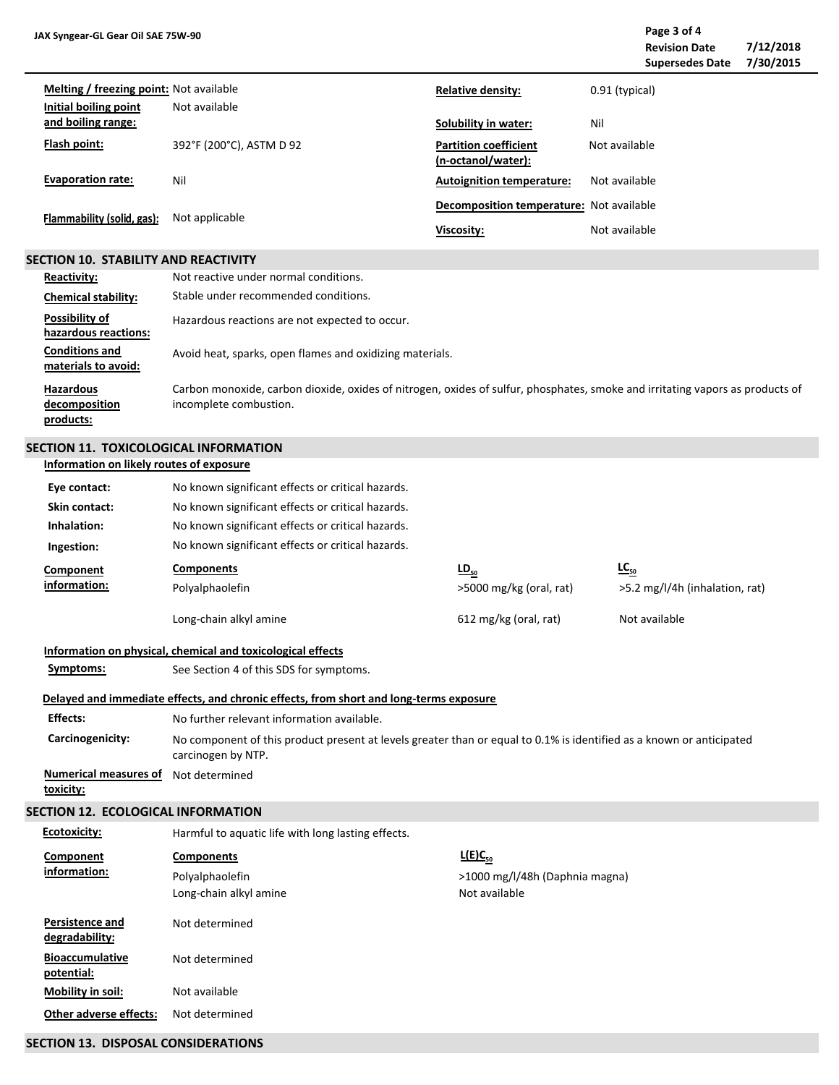**Page 3 of 4 Revision Date 7/12/2018 Supersedes Date 7/30/2015**  $\overline{a}$ 

| <b>Melting / freezing point:</b> Not available<br>Initial boiling point | Not available            | <b>Relative density:</b>                           | 0.91 (typical) |
|-------------------------------------------------------------------------|--------------------------|----------------------------------------------------|----------------|
| and boiling range:                                                      |                          | Solubility in water:                               | Nil            |
| Flash point:                                                            | 392°F (200°C), ASTM D 92 | <b>Partition coefficient</b><br>(n-octanol/water): | Not available  |
| <b>Evaporation rate:</b>                                                | Nil                      | <b>Autoignition temperature:</b>                   | Not available  |
| Flammability (solid, gas):                                              | Not applicable           | Decomposition temperature: Not available           |                |
|                                                                         |                          | Viscosity:                                         | Not available  |

#### **SECTION 10. STABILITY AND REACTIVITY**

| Reactivity:                                    | Not reactive under normal conditions.                                                                                                                   |
|------------------------------------------------|---------------------------------------------------------------------------------------------------------------------------------------------------------|
| <b>Chemical stability:</b>                     | Stable under recommended conditions.                                                                                                                    |
| Possibility of<br>hazardous reactions:         | Hazardous reactions are not expected to occur.                                                                                                          |
| <b>Conditions and</b><br>materials to avoid:   | Avoid heat, sparks, open flames and oxidizing materials.                                                                                                |
| <b>Hazardous</b><br>decomposition<br>products: | Carbon monoxide, carbon dioxide, oxides of nitrogen, oxides of sulfur, phosphates, smoke and irritating vapors as products of<br>incomplete combustion. |

# **SECTION 11. TOXICOLOGICAL INFORMATION**

### **Information on likely routes of exposure**

| Eye contact:                              | No known significant effects or critical hazards.                                                                                          |                                |                                |  |  |  |  |  |
|-------------------------------------------|--------------------------------------------------------------------------------------------------------------------------------------------|--------------------------------|--------------------------------|--|--|--|--|--|
| Skin contact:                             | No known significant effects or critical hazards.                                                                                          |                                |                                |  |  |  |  |  |
| Inhalation:                               | No known significant effects or critical hazards.                                                                                          |                                |                                |  |  |  |  |  |
| Ingestion:                                | No known significant effects or critical hazards.                                                                                          |                                |                                |  |  |  |  |  |
| Component                                 | <b>Components</b>                                                                                                                          | $LD_{50}$                      | $LC_{50}$                      |  |  |  |  |  |
| information:                              | Polyalphaolefin                                                                                                                            | >5000 mg/kg (oral, rat)        | >5.2 mg/l/4h (inhalation, rat) |  |  |  |  |  |
|                                           | Long-chain alkyl amine                                                                                                                     | 612 mg/kg (oral, rat)          | Not available                  |  |  |  |  |  |
|                                           | Information on physical, chemical and toxicological effects                                                                                |                                |                                |  |  |  |  |  |
| Symptoms:                                 | See Section 4 of this SDS for symptoms.                                                                                                    |                                |                                |  |  |  |  |  |
|                                           | Delayed and immediate effects, and chronic effects, from short and long-terms exposure                                                     |                                |                                |  |  |  |  |  |
| <b>Effects:</b>                           | No further relevant information available.                                                                                                 |                                |                                |  |  |  |  |  |
| Carcinogenicity:                          | No component of this product present at levels greater than or equal to 0.1% is identified as a known or anticipated<br>carcinogen by NTP. |                                |                                |  |  |  |  |  |
| <b>Numerical measures of</b><br>toxicity: | Not determined                                                                                                                             |                                |                                |  |  |  |  |  |
| SECTION 12. ECOLOGICAL INFORMATION        |                                                                                                                                            |                                |                                |  |  |  |  |  |
| <b>Ecotoxicity:</b>                       | Harmful to aquatic life with long lasting effects.                                                                                         |                                |                                |  |  |  |  |  |
| Component                                 | <b>Components</b>                                                                                                                          | $L(E)C_{50}$                   |                                |  |  |  |  |  |
| information:                              | Polyalphaolefin                                                                                                                            | >1000 mg/l/48h (Daphnia magna) |                                |  |  |  |  |  |
|                                           | Long-chain alkyl amine                                                                                                                     | Not available                  |                                |  |  |  |  |  |
| Persistence and<br>degradability:         | Not determined                                                                                                                             |                                |                                |  |  |  |  |  |
| <b>Bioaccumulative</b><br>potential:      | Not determined                                                                                                                             |                                |                                |  |  |  |  |  |
| Mobility in soil:                         | Not available                                                                                                                              |                                |                                |  |  |  |  |  |
| Other adverse effects:                    | Not determined                                                                                                                             |                                |                                |  |  |  |  |  |
|                                           |                                                                                                                                            |                                |                                |  |  |  |  |  |

# **SECTION 13. DISPOSAL CONSIDERATIONS**